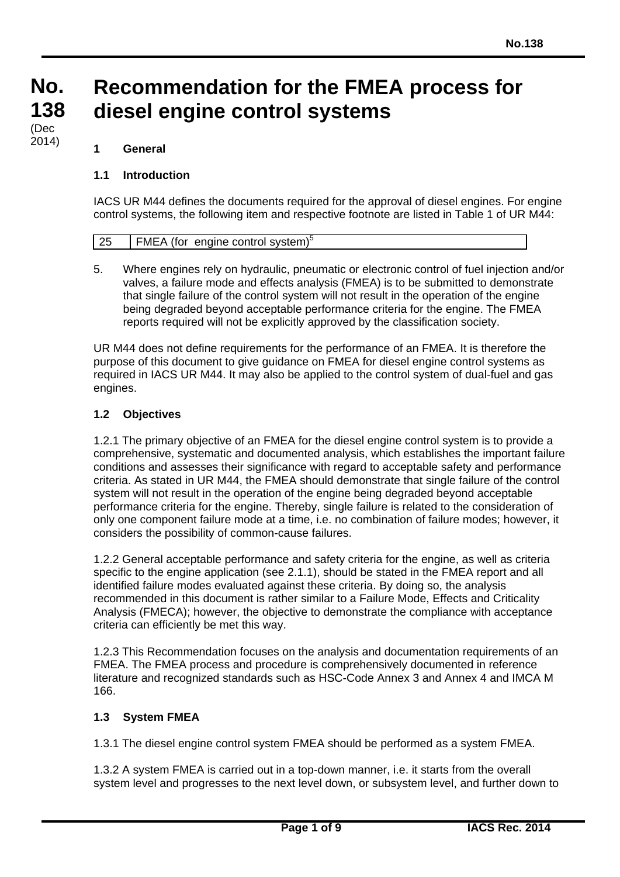#### **No. No. 138 138 Recommendation for the FMEA process for diesel engine control systems**

#### $(Dec \over \cos 4)$ 2014)

### **1 General**

### **1.1 Introduction**

IACS UR M44 defines the documents required for the approval of diesel engines. For engine control systems, the following item and respective footnote are listed in Table 1 of UR M44:

|  | <b>FMEA</b> (for engine control system) <sup>5</sup> |  |
|--|------------------------------------------------------|--|

5. Where engines rely on hydraulic, pneumatic or electronic control of fuel injection and/or valves, a failure mode and effects analysis (FMEA) is to be submitted to demonstrate that single failure of the control system will not result in the operation of the engine being degraded beyond acceptable performance criteria for the engine. The FMEA reports required will not be explicitly approved by the classification society.

UR M44 does not define requirements for the performance of an FMEA. It is therefore the purpose of this document to give guidance on FMEA for diesel engine control systems as required in IACS UR M44. It may also be applied to the control system of dual-fuel and gas engines.

### **1.2 Objectives**

1.2.1 The primary objective of an FMEA for the diesel engine control system is to provide a comprehensive, systematic and documented analysis, which establishes the important failure conditions and assesses their significance with regard to acceptable safety and performance criteria. As stated in UR M44, the FMEA should demonstrate that single failure of the control system will not result in the operation of the engine being degraded beyond acceptable performance criteria for the engine. Thereby, single failure is related to the consideration of only one component failure mode at a time, i.e. no combination of failure modes; however, it considers the possibility of common-cause failures.

1.2.2 General acceptable performance and safety criteria for the engine, as well as criteria specific to the engine application (see 2.1.1), should be stated in the FMEA report and all identified failure modes evaluated against these criteria. By doing so, the analysis recommended in this document is rather similar to a Failure Mode, Effects and Criticality Analysis (FMECA); however, the objective to demonstrate the compliance with acceptance criteria can efficiently be met this way.

1.2.3 This Recommendation focuses on the analysis and documentation requirements of an FMEA. The FMEA process and procedure is comprehensively documented in reference literature and recognized standards such as HSC-Code Annex 3 and Annex 4 and IMCA M 166.

# **1.3 System FMEA**

 $\overline{a}$ 

1.3.1 The diesel engine control system FMEA should be performed as a system FMEA.

1.3.2 A system FMEA is carried out in a top-down manner, i.e. it starts from the overall system level and progresses to the next level down, or subsystem level, and further down to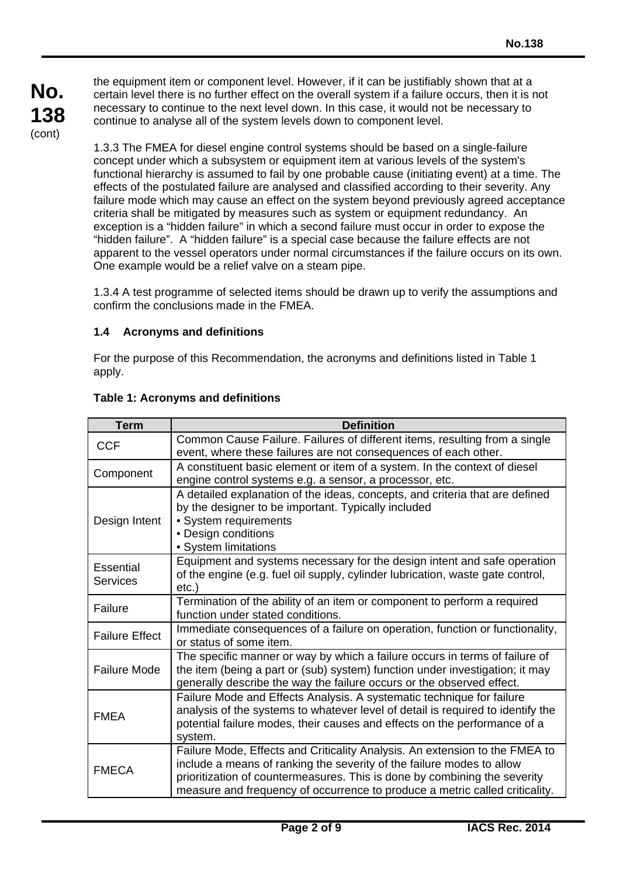the equipment item or component level. However, if it can be justifiably shown that at a certain level there is no further effect on the overall system if a failure occurs, then it is not necessary to continue to the next level down. In this case, it would not be necessary to continue to analyse all of the system levels down to component level.

1.3.3 The FMEA for diesel engine control systems should be based on a single-failure concept under which a subsystem or equipment item at various levels of the system's functional hierarchy is assumed to fail by one probable cause (initiating event) at a time. The effects of the postulated failure are analysed and classified according to their severity. Any failure mode which may cause an effect on the system beyond previously agreed acceptance criteria shall be mitigated by measures such as system or equipment redundancy. An exception is a "hidden failure" in which a second failure must occur in order to expose the "hidden failure". A "hidden failure" is a special case because the failure effects are not apparent to the vessel operators under normal circumstances if the failure occurs on its own. One example would be a relief valve on a steam pipe.

1.3.4 A test programme of selected items should be drawn up to verify the assumptions and confirm the conclusions made in the FMEA.

### **1.4 Acronyms and definitions**

For the purpose of this Recommendation, the acronyms and definitions listed in Table 1 apply.

| <b>Term</b>                  | <b>Definition</b>                                                                                                                                                                                                                                                                                                |  |  |  |  |  |
|------------------------------|------------------------------------------------------------------------------------------------------------------------------------------------------------------------------------------------------------------------------------------------------------------------------------------------------------------|--|--|--|--|--|
| <b>CCF</b>                   | Common Cause Failure. Failures of different items, resulting from a single<br>event, where these failures are not consequences of each other.                                                                                                                                                                    |  |  |  |  |  |
| Component                    | A constituent basic element or item of a system. In the context of diesel<br>engine control systems e.g. a sensor, a processor, etc.                                                                                                                                                                             |  |  |  |  |  |
| Design Intent                | A detailed explanation of the ideas, concepts, and criteria that are defined<br>by the designer to be important. Typically included<br>• System requirements<br>• Design conditions<br>• System limitations                                                                                                      |  |  |  |  |  |
| Essential<br><b>Services</b> | Equipment and systems necessary for the design intent and safe operation<br>of the engine (e.g. fuel oil supply, cylinder lubrication, waste gate control,<br>$etc.$ )                                                                                                                                           |  |  |  |  |  |
| Failure                      | Termination of the ability of an item or component to perform a required<br>function under stated conditions.                                                                                                                                                                                                    |  |  |  |  |  |
| <b>Failure Effect</b>        | Immediate consequences of a failure on operation, function or functionality,<br>or status of some item.                                                                                                                                                                                                          |  |  |  |  |  |
| <b>Failure Mode</b>          | The specific manner or way by which a failure occurs in terms of failure of<br>the item (being a part or (sub) system) function under investigation; it may<br>generally describe the way the failure occurs or the observed effect.                                                                             |  |  |  |  |  |
| <b>FMEA</b>                  | Failure Mode and Effects Analysis. A systematic technique for failure<br>analysis of the systems to whatever level of detail is required to identify the<br>potential failure modes, their causes and effects on the performance of a<br>system.                                                                 |  |  |  |  |  |
| <b>FMECA</b>                 | Failure Mode, Effects and Criticality Analysis. An extension to the FMEA to<br>include a means of ranking the severity of the failure modes to allow<br>prioritization of countermeasures. This is done by combining the severity<br>measure and frequency of occurrence to produce a metric called criticality. |  |  |  |  |  |

### **Table 1: Acronyms and definitions**

 $\overline{a}$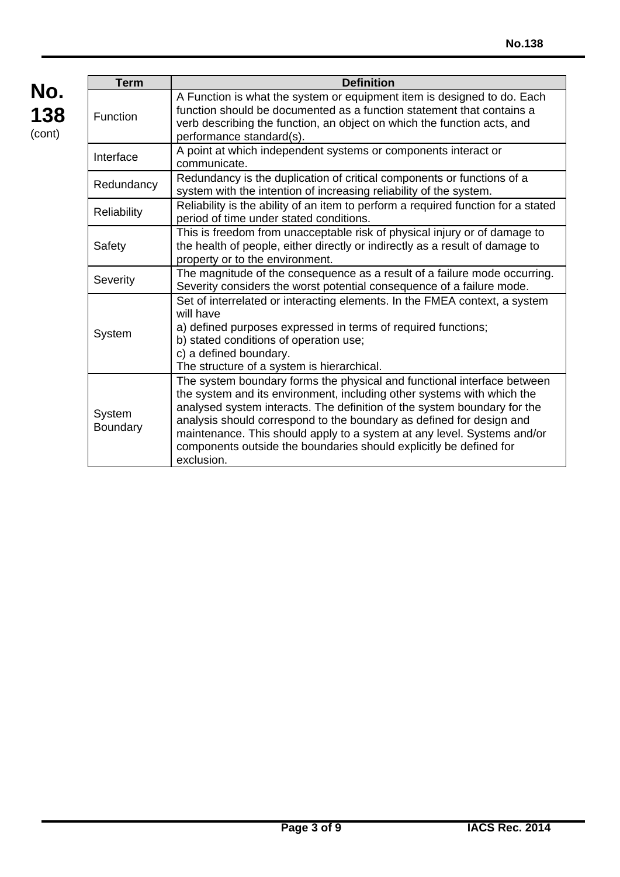| No.    |
|--------|
| 138    |
| (cont) |

 $\overline{a}$ 

| <b>Term</b>        | <b>Definition</b>                                                                                                                                                                                                                                                                                                                                                                                                                                                    |  |  |  |  |  |  |
|--------------------|----------------------------------------------------------------------------------------------------------------------------------------------------------------------------------------------------------------------------------------------------------------------------------------------------------------------------------------------------------------------------------------------------------------------------------------------------------------------|--|--|--|--|--|--|
| <b>Function</b>    | A Function is what the system or equipment item is designed to do. Each<br>function should be documented as a function statement that contains a<br>verb describing the function, an object on which the function acts, and<br>performance standard(s).                                                                                                                                                                                                              |  |  |  |  |  |  |
| Interface          | A point at which independent systems or components interact or<br>communicate.                                                                                                                                                                                                                                                                                                                                                                                       |  |  |  |  |  |  |
| Redundancy         | Redundancy is the duplication of critical components or functions of a<br>system with the intention of increasing reliability of the system.                                                                                                                                                                                                                                                                                                                         |  |  |  |  |  |  |
| Reliability        | Reliability is the ability of an item to perform a required function for a stated<br>period of time under stated conditions.                                                                                                                                                                                                                                                                                                                                         |  |  |  |  |  |  |
| Safety             | This is freedom from unacceptable risk of physical injury or of damage to<br>the health of people, either directly or indirectly as a result of damage to<br>property or to the environment.                                                                                                                                                                                                                                                                         |  |  |  |  |  |  |
| Severity           | The magnitude of the consequence as a result of a failure mode occurring.<br>Severity considers the worst potential consequence of a failure mode.                                                                                                                                                                                                                                                                                                                   |  |  |  |  |  |  |
| System             | Set of interrelated or interacting elements. In the FMEA context, a system<br>will have<br>a) defined purposes expressed in terms of required functions;<br>b) stated conditions of operation use;<br>c) a defined boundary.<br>The structure of a system is hierarchical.                                                                                                                                                                                           |  |  |  |  |  |  |
| System<br>Boundary | The system boundary forms the physical and functional interface between<br>the system and its environment, including other systems with which the<br>analysed system interacts. The definition of the system boundary for the<br>analysis should correspond to the boundary as defined for design and<br>maintenance. This should apply to a system at any level. Systems and/or<br>components outside the boundaries should explicitly be defined for<br>exclusion. |  |  |  |  |  |  |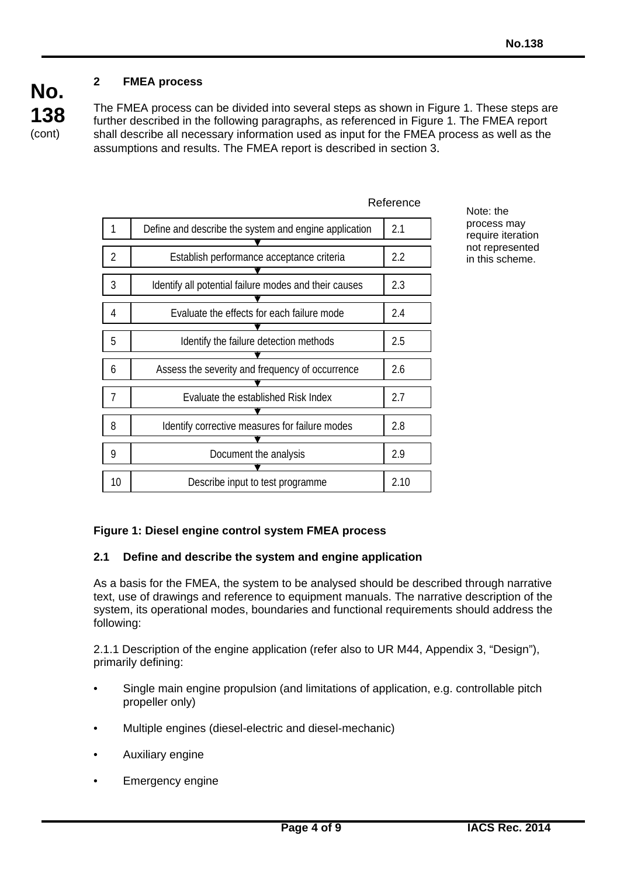# **2 FMEA process**

**138**  (cont)

**No.** 

The FMEA process can be divided into several steps as shown in Figure 1. These steps are further described in the following paragraphs, as referenced in Figure 1. The FMEA report shall describe all necessary information used as input for the FMEA process as well as the assumptions and results. The FMEA report is described in section 3.

|                |                                                       | IVAIQI CITVO |
|----------------|-------------------------------------------------------|--------------|
| 1              | Define and describe the system and engine application | 2.1          |
| $\overline{2}$ | Establish performance acceptance criteria             | 2.2          |
| 3              | Identify all potential failure modes and their causes | 2.3          |
| 4              | Evaluate the effects for each failure mode            | 2.4          |
| 5              | Identify the failure detection methods                | 2.5          |
| 6              | Assess the severity and frequency of occurrence       | 2.6          |
| 7              | Evaluate the established Risk Index                   | 2.7          |
| 8              | Identify corrective measures for failure modes        | 2.8          |
| 9              | Document the analysis                                 | 2.9          |
| 10             | Describe input to test programme                      | 2.10         |

**Deference** 

Note: the process may require iteration not represented in this scheme.

# **Figure 1: Diesel engine control system FMEA process**

### **2.1 Define and describe the system and engine application**

As a basis for the FMEA, the system to be analysed should be described through narrative text, use of drawings and reference to equipment manuals. The narrative description of the system, its operational modes, boundaries and functional requirements should address the following:

2.1.1 Description of the engine application (refer also to UR M44, Appendix 3, "Design"), primarily defining:

- Single main engine propulsion (and limitations of application, e.g. controllable pitch propeller only)
- Multiple engines (diesel-electric and diesel-mechanic)
- Auxiliary engine

 $\overline{a}$ 

Emergency engine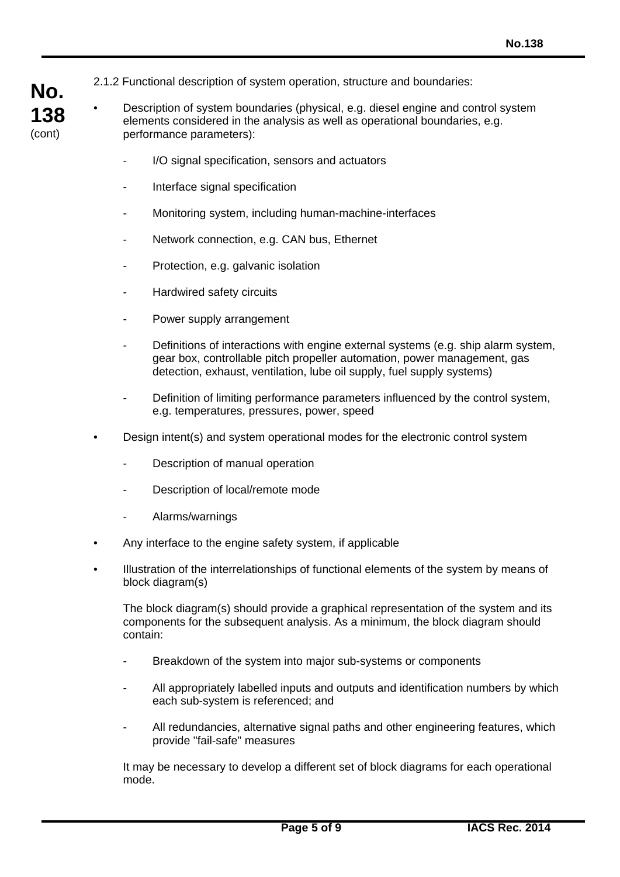- **No. 138**  (cont)
- 2.1.2 Functional description of system operation, structure and boundaries:
- Description of system boundaries (physical, e.g. diesel engine and control system elements considered in the analysis as well as operational boundaries, e.g. performance parameters):
	- I/O signal specification, sensors and actuators
	- Interface signal specification
	- Monitoring system, including human-machine-interfaces
	- Network connection, e.g. CAN bus, Ethernet
	- Protection, e.g. galvanic isolation
	- Hardwired safety circuits
	- Power supply arrangement
	- Definitions of interactions with engine external systems (e.g. ship alarm system, gear box, controllable pitch propeller automation, power management, gas detection, exhaust, ventilation, lube oil supply, fuel supply systems)
	- Definition of limiting performance parameters influenced by the control system, e.g. temperatures, pressures, power, speed
	- Design intent(s) and system operational modes for the electronic control system
		- Description of manual operation
		- Description of local/remote mode
		- Alarms/warnings

 $\overline{a}$ 

- Any interface to the engine safety system, if applicable
- Illustration of the interrelationships of functional elements of the system by means of block diagram(s)

 The block diagram(s) should provide a graphical representation of the system and its components for the subsequent analysis. As a minimum, the block diagram should contain:

- Breakdown of the system into major sub-systems or components
- All appropriately labelled inputs and outputs and identification numbers by which each sub-system is referenced; and
- All redundancies, alternative signal paths and other engineering features, which provide "fail-safe" measures

 It may be necessary to develop a different set of block diagrams for each operational mode.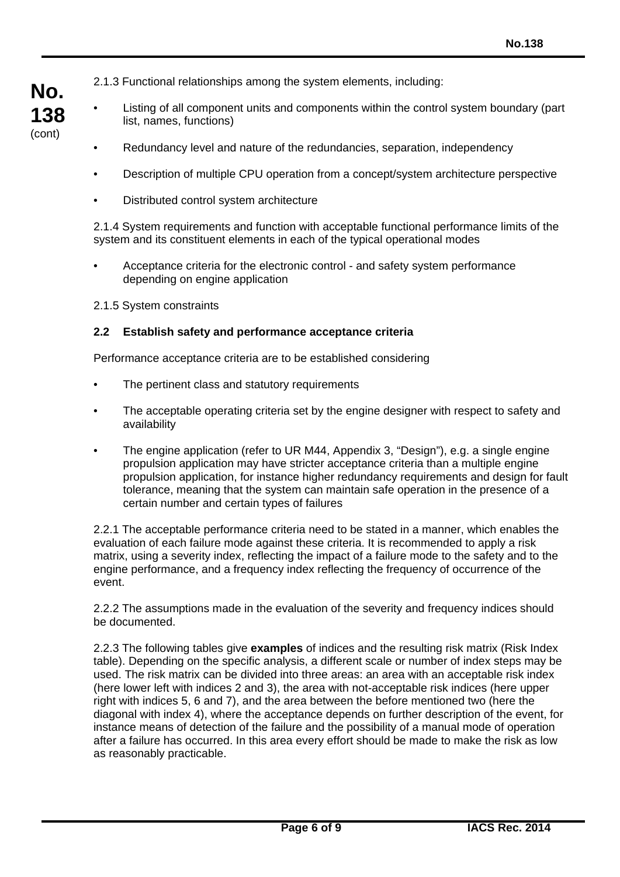2.1.3 Functional relationships among the system elements, including:

- Listing of all component units and components within the control system boundary (part list, names, functions)
	- Redundancy level and nature of the redundancies, separation, independency
	- Description of multiple CPU operation from a concept/system architecture perspective
	- Distributed control system architecture

2.1.4 System requirements and function with acceptable functional performance limits of the system and its constituent elements in each of the typical operational modes

- Acceptance criteria for the electronic control and safety system performance depending on engine application
- 2.1.5 System constraints

**No.** 

**138**  (cont)

 $\overline{a}$ 

#### **2.2 Establish safety and performance acceptance criteria**

Performance acceptance criteria are to be established considering

- The pertinent class and statutory requirements
- The acceptable operating criteria set by the engine designer with respect to safety and availability
- The engine application (refer to UR M44, Appendix 3, "Design"), e.g. a single engine propulsion application may have stricter acceptance criteria than a multiple engine propulsion application, for instance higher redundancy requirements and design for fault tolerance, meaning that the system can maintain safe operation in the presence of a certain number and certain types of failures

2.2.1 The acceptable performance criteria need to be stated in a manner, which enables the evaluation of each failure mode against these criteria. It is recommended to apply a risk matrix, using a severity index, reflecting the impact of a failure mode to the safety and to the engine performance, and a frequency index reflecting the frequency of occurrence of the event.

2.2.2 The assumptions made in the evaluation of the severity and frequency indices should be documented.

2.2.3 The following tables give **examples** of indices and the resulting risk matrix (Risk Index table). Depending on the specific analysis, a different scale or number of index steps may be used. The risk matrix can be divided into three areas: an area with an acceptable risk index (here lower left with indices 2 and 3), the area with not-acceptable risk indices (here upper right with indices 5, 6 and 7), and the area between the before mentioned two (here the diagonal with index 4), where the acceptance depends on further description of the event, for instance means of detection of the failure and the possibility of a manual mode of operation after a failure has occurred. In this area every effort should be made to make the risk as low as reasonably practicable.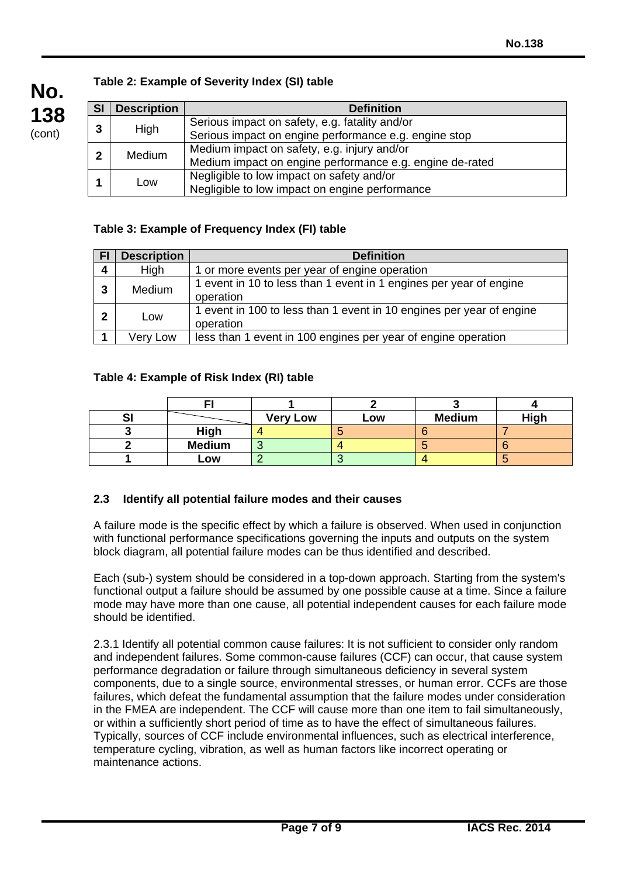

 $\overline{a}$ 

# **Table 2: Example of Severity Index (SI) table**

| <b>SI</b>    | <b>Description</b> | <b>Definition</b>                                        |
|--------------|--------------------|----------------------------------------------------------|
| 3            | High               | Serious impact on safety, e.g. fatality and/or           |
|              |                    | Serious impact on engine performance e.g. engine stop    |
| $\mathbf{2}$ | <b>Medium</b>      | Medium impact on safety, e.g. injury and/or              |
|              |                    | Medium impact on engine performance e.g. engine de-rated |
|              | Low                | Negligible to low impact on safety and/or                |
|              |                    | Negligible to low impact on engine performance           |

# **Table 3: Example of Frequency Index (FI) table**

| <b>FI</b>      | <b>Description</b><br><b>Definition</b>                                                          |                                                                                   |  |  |  |  |
|----------------|--------------------------------------------------------------------------------------------------|-----------------------------------------------------------------------------------|--|--|--|--|
| $\overline{4}$ | High                                                                                             | 1 or more events per year of engine operation                                     |  |  |  |  |
| 3              | 1 event in 10 to less than 1 event in 1 engines per year of engine<br><b>Medium</b><br>operation |                                                                                   |  |  |  |  |
| $\mathbf{2}$   | Low                                                                                              | 1 event in 100 to less than 1 event in 10 engines per year of engine<br>operation |  |  |  |  |
|                | Very Low                                                                                         | less than 1 event in 100 engines per year of engine operation                     |  |  |  |  |

# **Table 4: Example of Risk Index (RI) table**

| יט |               | <b>Very Low</b> | Low | <b>Medium</b> | High |
|----|---------------|-----------------|-----|---------------|------|
|    | High          |                 |     |               |      |
|    | <b>Medium</b> |                 |     |               |      |
|    | Low           |                 |     |               |      |

# **2.3 Identify all potential failure modes and their causes**

A failure mode is the specific effect by which a failure is observed. When used in conjunction with functional performance specifications governing the inputs and outputs on the system block diagram, all potential failure modes can be thus identified and described.

Each (sub-) system should be considered in a top-down approach. Starting from the system's functional output a failure should be assumed by one possible cause at a time. Since a failure mode may have more than one cause, all potential independent causes for each failure mode should be identified.

2.3.1 Identify all potential common cause failures: It is not sufficient to consider only random and independent failures. Some common-cause failures (CCF) can occur, that cause system performance degradation or failure through simultaneous deficiency in several system components, due to a single source, environmental stresses, or human error. CCFs are those failures, which defeat the fundamental assumption that the failure modes under consideration in the FMEA are independent. The CCF will cause more than one item to fail simultaneously, or within a sufficiently short period of time as to have the effect of simultaneous failures. Typically, sources of CCF include environmental influences, such as electrical interference, temperature cycling, vibration, as well as human factors like incorrect operating or maintenance actions.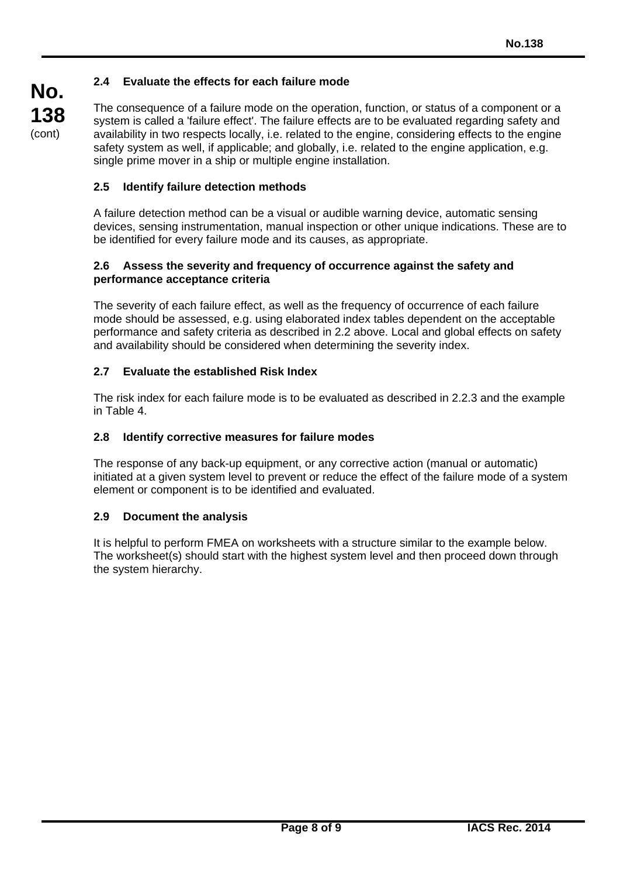# **2.4 Evaluate the effects for each failure mode**

The consequence of a failure mode on the operation, function, or status of a component or a system is called a 'failure effect'. The failure effects are to be evaluated regarding safety and availability in two respects locally, i.e. related to the engine, considering effects to the engine safety system as well, if applicable; and globally, i.e. related to the engine application, e.g. single prime mover in a ship or multiple engine installation.

## **2.5 Identify failure detection methods**

A failure detection method can be a visual or audible warning device, automatic sensing devices, sensing instrumentation, manual inspection or other unique indications. These are to be identified for every failure mode and its causes, as appropriate.

#### **2.6 Assess the severity and frequency of occurrence against the safety and performance acceptance criteria**

The severity of each failure effect, as well as the frequency of occurrence of each failure mode should be assessed, e.g. using elaborated index tables dependent on the acceptable performance and safety criteria as described in 2.2 above. Local and global effects on safety and availability should be considered when determining the severity index.

### **2.7 Evaluate the established Risk Index**

The risk index for each failure mode is to be evaluated as described in 2.2.3 and the example in Table 4.

### **2.8 Identify corrective measures for failure modes**

The response of any back-up equipment, or any corrective action (manual or automatic) initiated at a given system level to prevent or reduce the effect of the failure mode of a system element or component is to be identified and evaluated.

### **2.9 Document the analysis**

 $\overline{a}$ 

It is helpful to perform FMEA on worksheets with a structure similar to the example below. The worksheet(s) should start with the highest system level and then proceed down through the system hierarchy.